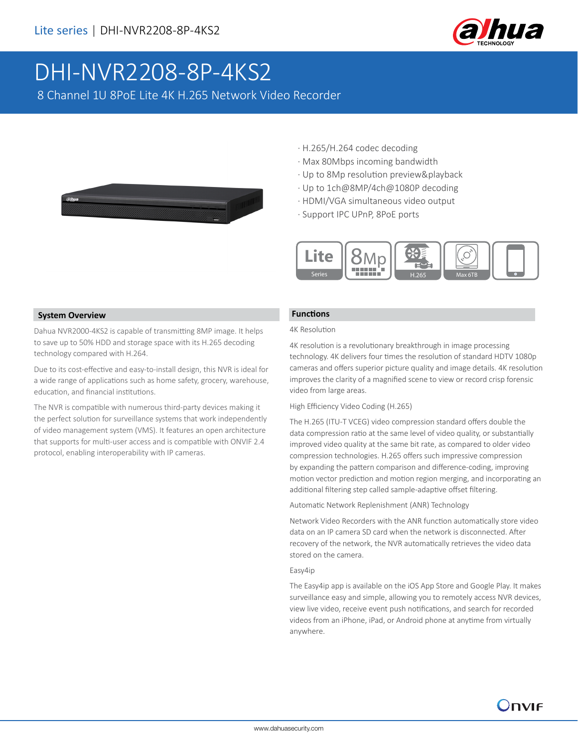

# DHI-NVR2208-8P-4KS2

8 Channel 1U 8PoE Lite 4K H.265 Network Video Recorder



- · H.265/H.264 codec decoding
- · Max 80Mbps incoming bandwidth
- · Up to 8Mp resolution preview&playback
- · Up to 1ch@8MP/4ch@1080P decoding
- · HDMI/VGA simultaneous video output
- · Support IPC UPnP, 8PoE ports



### **System Overview**

Dahua NVR2000-4KS2 is capable of transmitting 8MP image. It helps to save up to 50% HDD and storage space with its H.265 decoding technology compared with H.264.

Due to its cost-effective and easy-to-install design, this NVR is ideal for a wide range of applications such as home safety, grocery, warehouse, education, and financial institutions.

The NVR is compatible with numerous third-party devices making it the perfect solution for surveillance systems that work independently of video management system (VMS). It features an open architecture that supports for multi-user access and is compatible with ONVIF 2.4 protocol, enabling interoperability with IP cameras.

### **Functions**

#### 4K Resolution

4K resolution is a revolutionary breakthrough in image processing technology. 4K delivers four times the resolution of standard HDTV 1080p cameras and offers superior picture quality and image details. 4K resolution improves the clarity of a magnified scene to view or record crisp forensic video from large areas.

#### High Efficiency Video Coding (H.265)

The H.265 (ITU-T VCEG) video compression standard offers double the data compression ratio at the same level of video quality, or substantially improved video quality at the same bit rate, as compared to older video compression technologies. H.265 offers such impressive compression by expanding the pattern comparison and difference-coding, improving motion vector prediction and motion region merging, and incorporating an additional filtering step called sample-adaptive offset filtering.

Automatic Network Replenishment (ANR) Technology

Network Video Recorders with the ANR function automatically store video data on an IP camera SD card when the network is disconnected. After recovery of the network, the NVR automatically retrieves the video data stored on the camera.

#### Easy4ip

The Easy4ip app is available on the iOS App Store and Google Play. It makes surveillance easy and simple, allowing you to remotely access NVR devices, view live video, receive event push notifications, and search for recorded videos from an iPhone, iPad, or Android phone at anytime from virtually anywhere.

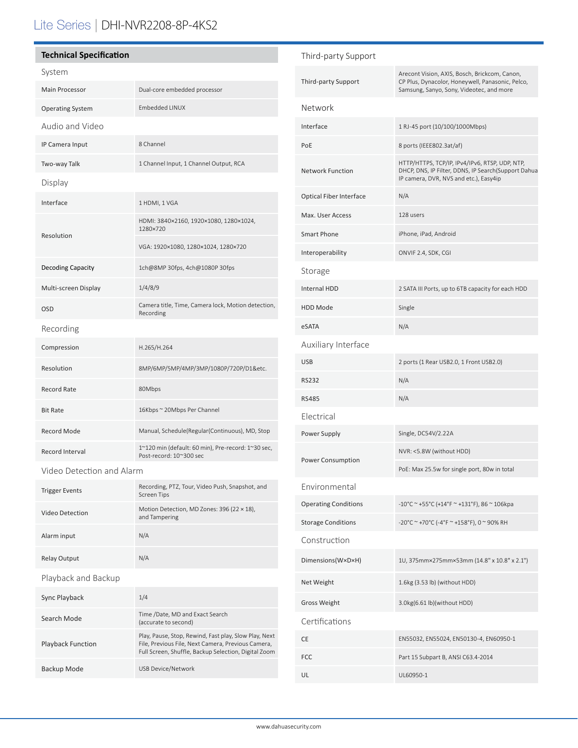# Lite Series | DHI-NVR2208-8P-4KS2

# **Technical Specification** System Main Processor **Dual-core embedded processor** Operating System Embedded LINUX Audio and Video IP Camera Input 8 Channel Two-way Talk 1 Channel Input, 1 Channel Output, RCA Display Interface 1 HDMI, 1 VGA Resolution HDMI: 3840×2160, 1920×1080, 1280×1024, 1280×720 VGA: 1920×1080, 1280×1024, 1280×720 Decoding Capacity 1ch@8MP 30fps, 4ch@1080P 30fps Multi-screen Display 1/4/8/9 OSD Camera title, Time, Camera lock, Motion detection, Recording Recording Compression H.265/H.264 Resolution 8MP/6MP/5MP/4MP/3MP/1080P/720P/D1&etc. Record Rate 80Mbps Bit Rate 16Kbps ~ 20Mbps Per Channel Record Mode Manual, Schedule(Regular(Continuous), MD, Stop Record Interval 1~120 min (default: 60 min), Pre-record: 1~30 sec, Post-record: 10~300 sec

Video Detection and Alarm

| <b>Trigger Events</b>    | Recording, PTZ, Tour, Video Push, Snapshot, and<br><b>Screen Tips</b>                                                                                               |
|--------------------------|---------------------------------------------------------------------------------------------------------------------------------------------------------------------|
| Video Detection          | Motion Detection, MD Zones: 396 (22 × 18),<br>and Tampering                                                                                                         |
| Alarm input              | N/A                                                                                                                                                                 |
| <b>Relay Output</b>      | N/A                                                                                                                                                                 |
| Playback and Backup      |                                                                                                                                                                     |
| Sync Playback            | 1/4                                                                                                                                                                 |
| Search Mode              | Time /Date, MD and Exact Search<br>(accurate to second)                                                                                                             |
| <b>Playback Function</b> | Play, Pause, Stop, Rewind, Fast play, Slow Play, Next<br>File, Previous File, Next Camera, Previous Camera,<br>Full Screen, Shuffle, Backup Selection, Digital Zoom |
| Backup Mode              | USB Device/Network                                                                                                                                                  |

| Third-party Support            |                                                                                                                                                 |  |  |
|--------------------------------|-------------------------------------------------------------------------------------------------------------------------------------------------|--|--|
| <b>Third-party Support</b>     | Arecont Vision, AXIS, Bosch, Brickcom, Canon,<br>CP Plus, Dynacolor, Honeywell, Panasonic, Pelco,<br>Samsung, Sanyo, Sony, Videotec, and more   |  |  |
| Network                        |                                                                                                                                                 |  |  |
| Interface                      | 1 RJ-45 port (10/100/1000Mbps)                                                                                                                  |  |  |
| PoE                            | 8 ports (IEEE802.3at/af)                                                                                                                        |  |  |
| <b>Network Function</b>        | HTTP/HTTPS, TCP/IP, IPv4/IPv6, RTSP, UDP, NTP,<br>DHCP, DNS, IP Filter, DDNS, IP Search(Support Dahua<br>IP camera, DVR, NVS and etc.), Easy4ip |  |  |
| <b>Optical Fiber Interface</b> | N/A                                                                                                                                             |  |  |
| Max. User Access               | 128 users                                                                                                                                       |  |  |
| <b>Smart Phone</b>             | iPhone, iPad, Android                                                                                                                           |  |  |
| Interoperability               | ONVIF 2.4, SDK, CGI                                                                                                                             |  |  |
| Storage                        |                                                                                                                                                 |  |  |
| <b>Internal HDD</b>            | 2 SATA III Ports, up to 6TB capacity for each HDD                                                                                               |  |  |
| <b>HDD Mode</b>                | Single                                                                                                                                          |  |  |
| eSATA                          | N/A                                                                                                                                             |  |  |
| Auxiliary Interface            |                                                                                                                                                 |  |  |
| <b>USB</b>                     | 2 ports (1 Rear USB2.0, 1 Front USB2.0)                                                                                                         |  |  |
| <b>RS232</b>                   | N/A                                                                                                                                             |  |  |
| <b>RS485</b>                   | N/A                                                                                                                                             |  |  |
| Electrical                     |                                                                                                                                                 |  |  |
| Power Supply                   | Single, DC54V/2.22A                                                                                                                             |  |  |
| Power Consumption              | NVR: <5.8W (without HDD)                                                                                                                        |  |  |
|                                | PoE: Max 25.5w for single port, 80w in total                                                                                                    |  |  |
| Environmental                  |                                                                                                                                                 |  |  |
| <b>Operating Conditions</b>    | -10°C ~ +55°C (+14°F ~ +131°F), 86 ~ 106kpa                                                                                                     |  |  |
| <b>Storage Conditions</b>      | -20°C ~ +70°C (-4°F ~ +158°F), 0 ~ 90% RH                                                                                                       |  |  |
| Construction                   |                                                                                                                                                 |  |  |
| Dimensions(W×D×H)              | 1U, 375mm×275mm×53mm (14.8" x 10.8" x 2.1")                                                                                                     |  |  |
| Net Weight                     | 1.6kg (3.53 lb) (without HDD)                                                                                                                   |  |  |
| <b>Gross Weight</b>            | 3.0kg(6.61 lb)(without HDD)                                                                                                                     |  |  |
| Certifications                 |                                                                                                                                                 |  |  |
| СE                             | EN55032, EN55024, EN50130-4, EN60950-1                                                                                                          |  |  |
| <b>FCC</b>                     | Part 15 Subpart B, ANSI C63.4-2014                                                                                                              |  |  |
| UL                             | UL60950-1                                                                                                                                       |  |  |